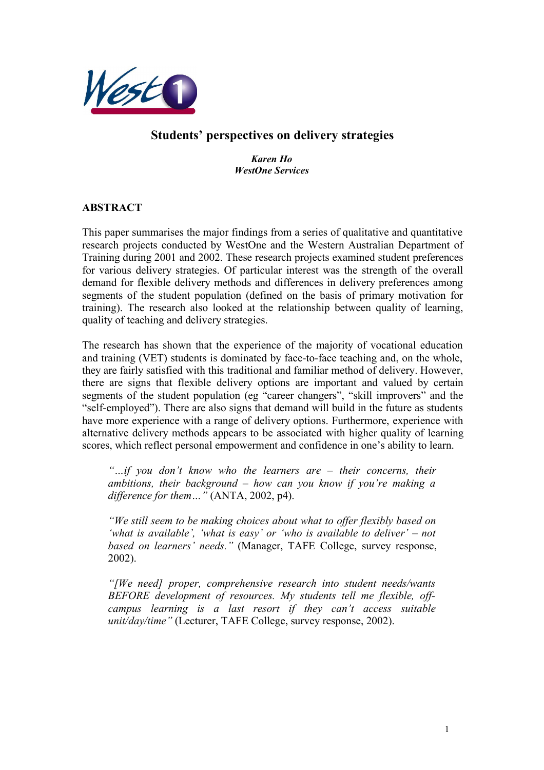

# **Students' perspectives on delivery strategies**

*Karen Ho WestOne Services*

# **ABSTRACT**

This paper summarises the major findings from a series of qualitative and quantitative research projects conducted by WestOne and the Western Australian Department of Training during 2001 and 2002. These research projects examined student preferences for various delivery strategies. Of particular interest was the strength of the overall demand for flexible delivery methods and differences in delivery preferences among segments of the student population (defined on the basis of primary motivation for training). The research also looked at the relationship between quality of learning, quality of teaching and delivery strategies.

The research has shown that the experience of the majority of vocational education and training (VET) students is dominated by face-to-face teaching and, on the whole, they are fairly satisfied with this traditional and familiar method of delivery. However, there are signs that flexible delivery options are important and valued by certain segments of the student population (eg "career changers", "skill improvers" and the "self-employed"). There are also signs that demand will build in the future as students have more experience with a range of delivery options. Furthermore, experience with alternative delivery methods appears to be associated with higher quality of learning scores, which reflect personal empowerment and confidence in one's ability to learn.

*"…if you don't know who the learners are – their concerns, their ambitions, their background – how can you know if you're making a difference for them…"* (ANTA, 2002, p4).

*"We still seem to be making choices about what to offer flexibly based on 'what is available', 'what is easy' or 'who is available to deliver' – not based on learners' needs."* (Manager, TAFE College, survey response, 2002).

*"[We need] proper, comprehensive research into student needs/wants BEFORE development of resources. My students tell me flexible, offcampus learning is a last resort if they can't access suitable unit/day/time"* (Lecturer, TAFE College, survey response, 2002).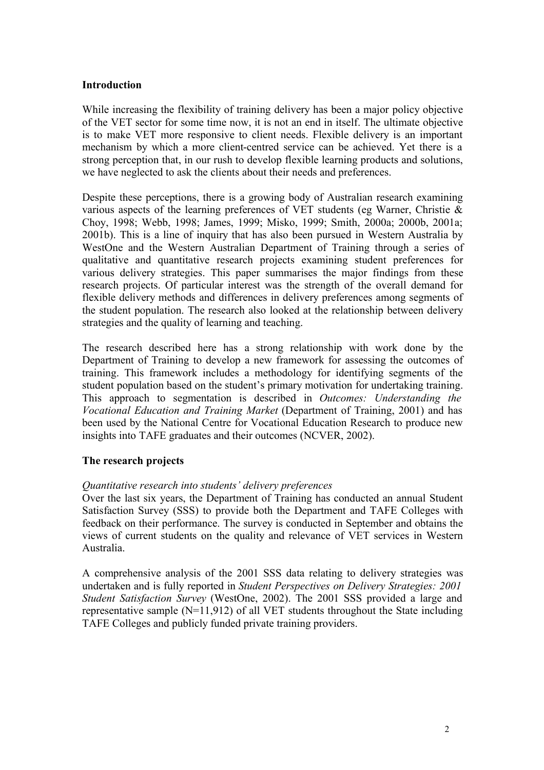### **Introduction**

While increasing the flexibility of training delivery has been a major policy objective of the VET sector for some time now, it is not an end in itself. The ultimate objective is to make VET more responsive to client needs. Flexible delivery is an important mechanism by which a more client-centred service can be achieved. Yet there is a strong perception that, in our rush to develop flexible learning products and solutions, we have neglected to ask the clients about their needs and preferences.

Despite these perceptions, there is a growing body of Australian research examining various aspects of the learning preferences of VET students (eg Warner, Christie & Choy, 1998; Webb, 1998; James, 1999; Misko, 1999; Smith, 2000a; 2000b, 2001a; 2001b). This is a line of inquiry that has also been pursued in Western Australia by WestOne and the Western Australian Department of Training through a series of qualitative and quantitative research projects examining student preferences for various delivery strategies. This paper summarises the major findings from these research projects. Of particular interest was the strength of the overall demand for flexible delivery methods and differences in delivery preferences among segments of the student population. The research also looked at the relationship between delivery strategies and the quality of learning and teaching.

The research described here has a strong relationship with work done by the Department of Training to develop a new framework for assessing the outcomes of training. This framework includes a methodology for identifying segments of the student population based on the student's primary motivation for undertaking training. This approach to segmentation is described in *Outcomes: Understanding the Vocational Education and Training Market* (Department of Training, 2001) and has been used by the National Centre for Vocational Education Research to produce new insights into TAFE graduates and their outcomes (NCVER, 2002).

### **The research projects**

#### *Quantitative research into students' delivery preferences*

Over the last six years, the Department of Training has conducted an annual Student Satisfaction Survey (SSS) to provide both the Department and TAFE Colleges with feedback on their performance. The survey is conducted in September and obtains the views of current students on the quality and relevance of VET services in Western Australia.

A comprehensive analysis of the 2001 SSS data relating to delivery strategies was undertaken and is fully reported in *Student Perspectives on Delivery Strategies: 2001 Student Satisfaction Survey* (WestOne, 2002). The 2001 SSS provided a large and representative sample (N=11,912) of all VET students throughout the State including TAFE Colleges and publicly funded private training providers.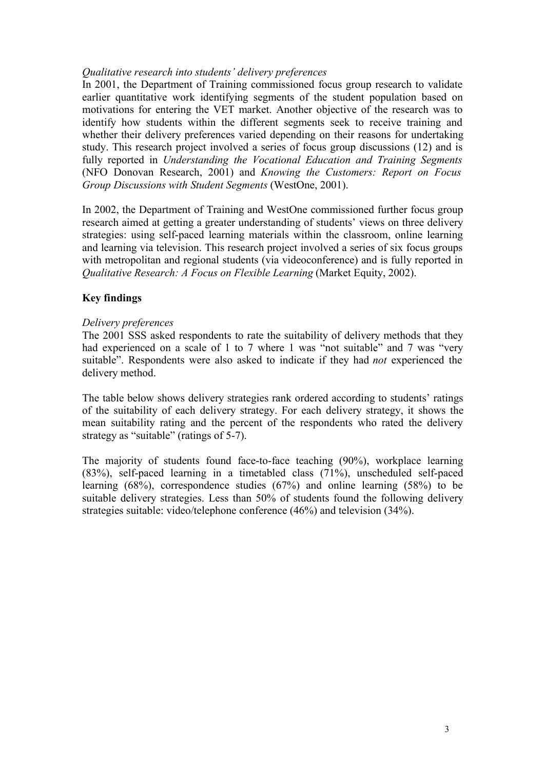### *Qualitative research into students' delivery preferences*

In 2001, the Department of Training commissioned focus group research to validate earlier quantitative work identifying segments of the student population based on motivations for entering the VET market. Another objective of the research was to identify how students within the different segments seek to receive training and whether their delivery preferences varied depending on their reasons for undertaking study. This research project involved a series of focus group discussions (12) and is fully reported in *Understanding the Vocational Education and Training Segments* (NFO Donovan Research, 2001) and *Knowing the Customers: Report on Focus Group Discussions with Student Segments* (WestOne, 2001).

In 2002, the Department of Training and WestOne commissioned further focus group research aimed at getting a greater understanding of students' views on three delivery strategies: using self-paced learning materials within the classroom, online learning and learning via television. This research project involved a series of six focus groups with metropolitan and regional students (via videoconference) and is fully reported in *Qualitative Research: A Focus on Flexible Learning (Market Equity, 2002).* 

# **Key findings**

### *Delivery preferences*

The 2001 SSS asked respondents to rate the suitability of delivery methods that they had experienced on a scale of 1 to 7 where 1 was "not suitable" and 7 was "very suitable". Respondents were also asked to indicate if they had *not* experienced the delivery method.

The table below shows delivery strategies rank ordered according to students' ratings of the suitability of each delivery strategy. For each delivery strategy, it shows the mean suitability rating and the percent of the respondents who rated the delivery strategy as "suitable" (ratings of 5-7).

The majority of students found face-to-face teaching (90%), workplace learning (83%), self-paced learning in a timetabled class (71%), unscheduled self-paced learning (68%), correspondence studies (67%) and online learning (58%) to be suitable delivery strategies. Less than 50% of students found the following delivery strategies suitable: video/telephone conference (46%) and television (34%).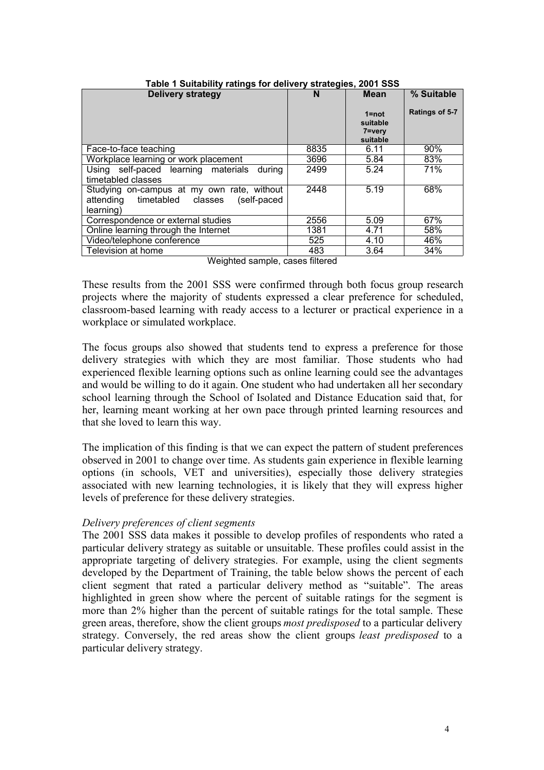| <b>Delivery strategy</b>                                                                                | N    | <b>Mean</b><br>$1 = not$<br>suitable<br>7=very<br>suitable | % Suitable<br>Ratings of 5-7 |
|---------------------------------------------------------------------------------------------------------|------|------------------------------------------------------------|------------------------------|
| Face-to-face teaching                                                                                   | 8835 | 6.11                                                       | 90%                          |
| Workplace learning or work placement                                                                    | 3696 | 5.84                                                       | 83%                          |
| Using self-paced learning materials<br>durina<br>timetabled classes                                     | 2499 | 5.24                                                       | 71%                          |
| Studying on-campus at my own rate, without<br>attending timetabled classes<br>(self-paced)<br>learning) | 2448 | 5.19                                                       | 68%                          |
| Correspondence or external studies                                                                      | 2556 | 5.09                                                       | 67%                          |
| Online learning through the Internet                                                                    | 1381 | 4.71                                                       | 58%                          |
| Video/telephone conference                                                                              | 525  | 4.10                                                       | 46%                          |
| Television at home                                                                                      | 483  | 3.64                                                       | 34%                          |

#### **Table 1 Suitability ratings for delivery strategies, 2001 SSS**

Weighted sample, cases filtered

These results from the 2001 SSS were confirmed through both focus group research projects where the majority of students expressed a clear preference for scheduled, classroom-based learning with ready access to a lecturer or practical experience in a workplace or simulated workplace.

The focus groups also showed that students tend to express a preference for those delivery strategies with which they are most familiar. Those students who had experienced flexible learning options such as online learning could see the advantages and would be willing to do it again. One student who had undertaken all her secondary school learning through the School of Isolated and Distance Education said that, for her, learning meant working at her own pace through printed learning resources and that she loved to learn this way.

The implication of this finding is that we can expect the pattern of student preferences observed in 2001 to change over time. As students gain experience in flexible learning options (in schools, VET and universities), especially those delivery strategies associated with new learning technologies, it is likely that they will express higher levels of preference for these delivery strategies.

### *Delivery preferences of client segments*

The 2001 SSS data makes it possible to develop profiles of respondents who rated a particular delivery strategy as suitable or unsuitable. These profiles could assist in the appropriate targeting of delivery strategies. For example, using the client segments developed by the Department of Training, the table below shows the percent of each client segment that rated a particular delivery method as "suitable". The areas highlighted in green show where the percent of suitable ratings for the segment is more than 2% higher than the percent of suitable ratings for the total sample. These green areas, therefore, show the client groups *most predisposed* to a particular delivery strategy. Conversely, the red areas show the client groups *least predisposed* to a particular delivery strategy.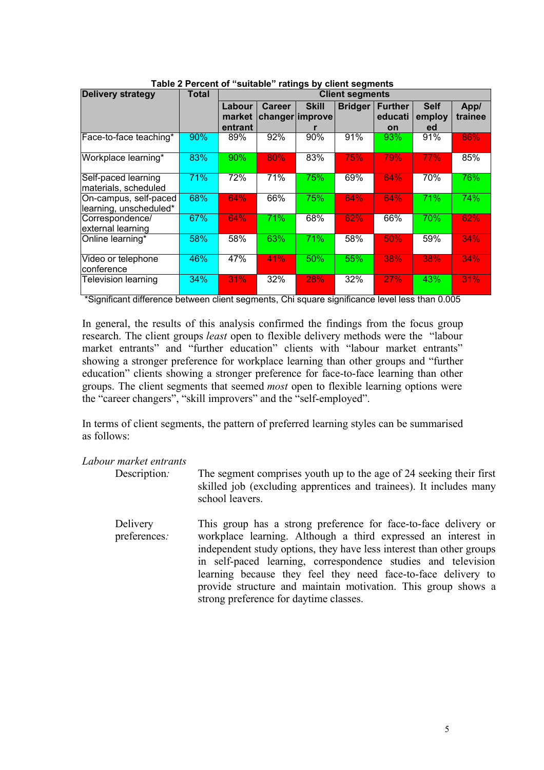| <b>Delivery strategy</b>                        | <b>Total</b> | <b>Client segments</b>      |               |                                 |                |                                 |                             |                 |
|-------------------------------------------------|--------------|-----------------------------|---------------|---------------------------------|----------------|---------------------------------|-----------------------------|-----------------|
|                                                 |              | Labour<br>market<br>entrant | <b>Career</b> | <b>Skill</b><br>changer improve | <b>Bridger</b> | <b>Further</b><br>educati<br>on | <b>Self</b><br>employ<br>ed | App/<br>trainee |
| Face-to-face teaching*                          | 90%          | 89%                         | 92%           | 90%                             | 91%            | 93%                             | 91%                         | 86%             |
| Workplace learning*                             | 83%          | 90%                         | 80%           | 83%                             | 75%            | <b>79%</b>                      | 77%                         | 85%             |
| Self-paced learning<br>materials, scheduled     | 71%          | 72%                         | 71%           | 75%                             | 69%            | 64%                             | 70%                         | 76%             |
| On-campus, self-paced<br>learning, unscheduled* | 68%          | 64%                         | 66%           | 75%                             | 64%            | 64%                             | 71%                         | 74%             |
| Correspondence/<br>external learning            | 67%          | 64%                         | 71%           | 68%                             | 62%            | 66%                             | 70%                         | 62%             |
| Online learning*                                | 58%          | 58%                         | 63%           | 71%                             | 58%            | 50%                             | 59%                         | 34%             |
| Video or telephone<br>conference                | 46%          | 47%                         | 41%           | 50%                             | 55%            | 38%                             | 38%                         | 34%             |
| Television learning                             | 34%          | 31%                         | 32%           | 28%                             | 32%            | 27%                             | 43%                         | 31%             |

\*Significant difference between client segments, Chi square significance level less than 0.005

In general, the results of this analysis confirmed the findings from the focus group research. The client groups *least* open to flexible delivery methods were the "labour market entrants" and "further education" clients with "labour market entrants" showing a stronger preference for workplace learning than other groups and "further education" clients showing a stronger preference for face-to-face learning than other groups. The client segments that seemed *most* open to flexible learning options were the "career changers", "skill improvers" and the "self-employed".

In terms of client segments, the pattern of preferred learning styles can be summarised as follows:

*Labour market entrants*

- Description: The segment comprises youth up to the age of 24 seeking their first skilled job (excluding apprentices and trainees). It includes many school leavers.
	- Delivery preferences*:* This group has a strong preference for face-to-face delivery or workplace learning. Although a third expressed an interest in independent study options, they have less interest than other groups in self-paced learning, correspondence studies and television learning because they feel they need face-to-face delivery to provide structure and maintain motivation. This group shows a strong preference for daytime classes.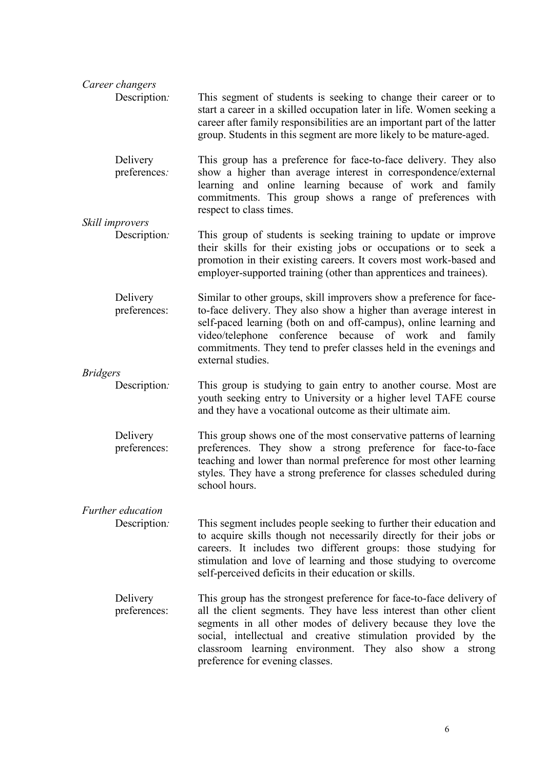| Career changers                   |                                                                                                                                                                                                                                                                                                                                                                            |
|-----------------------------------|----------------------------------------------------------------------------------------------------------------------------------------------------------------------------------------------------------------------------------------------------------------------------------------------------------------------------------------------------------------------------|
| Description:                      | This segment of students is seeking to change their career or to<br>start a career in a skilled occupation later in life. Women seeking a<br>career after family responsibilities are an important part of the latter<br>group. Students in this segment are more likely to be mature-aged.                                                                                |
| Delivery<br>preferences:          | This group has a preference for face-to-face delivery. They also<br>show a higher than average interest in correspondence/external<br>learning and online learning because of work and family<br>commitments. This group shows a range of preferences with<br>respect to class times.                                                                                      |
| Skill improvers                   |                                                                                                                                                                                                                                                                                                                                                                            |
| Description:                      | This group of students is seeking training to update or improve<br>their skills for their existing jobs or occupations or to seek a<br>promotion in their existing careers. It covers most work-based and<br>employer-supported training (other than apprentices and trainees).                                                                                            |
| Delivery<br>preferences:          | Similar to other groups, skill improvers show a preference for face-<br>to-face delivery. They also show a higher than average interest in<br>self-paced learning (both on and off-campus), online learning and<br>video/telephone conference because of work and<br>family<br>commitments. They tend to prefer classes held in the evenings and<br>external studies.      |
| <b>Bridgers</b>                   |                                                                                                                                                                                                                                                                                                                                                                            |
| Description:                      | This group is studying to gain entry to another course. Most are<br>youth seeking entry to University or a higher level TAFE course<br>and they have a vocational outcome as their ultimate aim.                                                                                                                                                                           |
| Delivery<br>preferences:          | This group shows one of the most conservative patterns of learning<br>preferences. They show a strong preference for face-to-face<br>teaching and lower than normal preference for most other learning<br>styles. They have a strong preference for classes scheduled during<br>school hours.                                                                              |
| Further education<br>Description: | This segment includes people seeking to further their education and<br>to acquire skills though not necessarily directly for their jobs or<br>careers. It includes two different groups: those studying for<br>stimulation and love of learning and those studying to overcome<br>self-perceived deficits in their education or skills.                                    |
| Delivery<br>preferences:          | This group has the strongest preference for face-to-face delivery of<br>all the client segments. They have less interest than other client<br>segments in all other modes of delivery because they love the<br>social, intellectual and creative stimulation provided by the<br>classroom learning environment. They also show a strong<br>preference for evening classes. |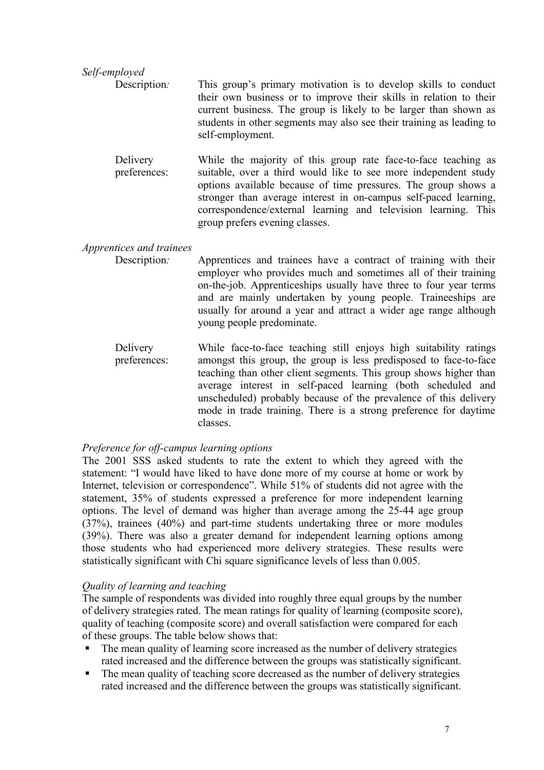*Self-employed* Description*:* This group's primary motivation is to develop skills to conduct their own business or to improve their skills in relation to their current business. The group is likely to be larger than shown as students in other segments may also see their training as leading to self-employment.

Delivery preferences: While the majority of this group rate face-to-face teaching as suitable, over a third would like to see more independent study options available because of time pressures. The group shows a stronger than average interest in on-campus self-paced learning, correspondence/external learning and television learning. This group prefers evening classes.

### *Apprentices and trainees*

Description*:* Apprentices and trainees have a contract of training with their employer who provides much and sometimes all of their training on-the-job. Apprenticeships usually have three to four year terms and are mainly undertaken by young people. Traineeships are usually for around a year and attract a wider age range although young people predominate.

Delivery preferences: While face-to-face teaching still enjoys high suitability ratings amongst this group, the group is less predisposed to face-to-face teaching than other client segments. This group shows higher than average interest in self-paced learning (both scheduled and unscheduled) probably because of the prevalence of this delivery mode in trade training. There is a strong preference for daytime classes.

# *Preference for off-campus learning options*

The 2001 SSS asked students to rate the extent to which they agreed with the statement: "I would have liked to have done more of my course at home or work by Internet, television or correspondence". While 51% of students did not agree with the statement, 35% of students expressed a preference for more independent learning options. The level of demand was higher than average among the 25-44 age group (37%), trainees (40%) and part-time students undertaking three or more modules (39%). There was also a greater demand for independent learning options among those students who had experienced more delivery strategies. These results were statistically significant with Chi square significance levels of less than 0.005.

# *Quality of learning and teaching*

The sample of respondents was divided into roughly three equal groups by the number of delivery strategies rated. The mean ratings for quality of learning (composite score), quality of teaching (composite score) and overall satisfaction were compared for each of these groups. The table below shows that:

- The mean quality of learning score increased as the number of delivery strategies rated increased and the difference between the groups was statistically significant.
- The mean quality of teaching score decreased as the number of delivery strategies rated increased and the difference between the groups was statistically significant.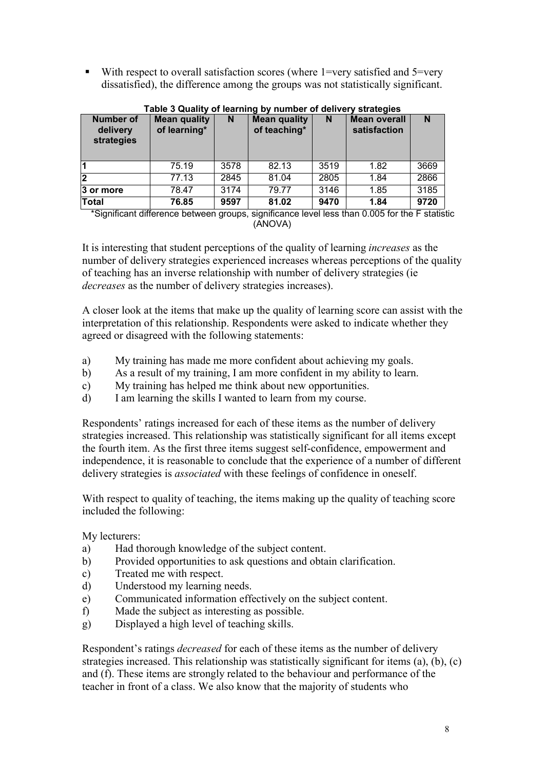With respect to overall satisfaction scores (where  $1 = \text{very satisfied}$  and  $5 = \text{very}}$ dissatisfied), the difference among the groups was not statistically significant.

| Number of<br>delivery<br>strategies | <b>Mean quality</b><br>of learning* | N    | <b>Mean quality</b><br>of teaching* | N    | <b>Mean overall</b><br>satisfaction | N    |
|-------------------------------------|-------------------------------------|------|-------------------------------------|------|-------------------------------------|------|
| $\vert$ 1                           | 75.19                               | 3578 | 82.13                               | 3519 | 1.82                                | 3669 |
| $\overline{2}$                      | 77.13                               | 2845 | 81.04                               | 2805 | 1.84                                | 2866 |
| 3 or more                           | 78.47                               | 3174 | 79.77                               | 3146 | 1.85                                | 3185 |
| <b>Total</b>                        | 76.85                               | 9597 | 81.02                               | 9470 | 1.84                                | 9720 |

#### **Table 3 Quality of learning by number of delivery strategies**

\*Significant difference between groups, significance level less than 0.005 for the F statistic (ANOVA)

It is interesting that student perceptions of the quality of learning *increases* as the number of delivery strategies experienced increases whereas perceptions of the quality of teaching has an inverse relationship with number of delivery strategies (ie *decreases* as the number of delivery strategies increases).

A closer look at the items that make up the quality of learning score can assist with the interpretation of this relationship. Respondents were asked to indicate whether they agreed or disagreed with the following statements:

- a) My training has made me more confident about achieving my goals.
- b) As a result of my training, I am more confident in my ability to learn.
- c) My training has helped me think about new opportunities.
- d) I am learning the skills I wanted to learn from my course.

Respondents' ratings increased for each of these items as the number of delivery strategies increased. This relationship was statistically significant for all items except the fourth item. As the first three items suggest self-confidence, empowerment and independence, it is reasonable to conclude that the experience of a number of different delivery strategies is *associated* with these feelings of confidence in oneself.

With respect to quality of teaching, the items making up the quality of teaching score included the following:

My lecturers:

- a) Had thorough knowledge of the subject content.
- b) Provided opportunities to ask questions and obtain clarification.
- c) Treated me with respect.
- d) Understood my learning needs.
- e) Communicated information effectively on the subject content.
- f) Made the subject as interesting as possible.
- g) Displayed a high level of teaching skills.

Respondent's ratings *decreased* for each of these items as the number of delivery strategies increased. This relationship was statistically significant for items (a), (b), (c) and (f). These items are strongly related to the behaviour and performance of the teacher in front of a class. We also know that the majority of students who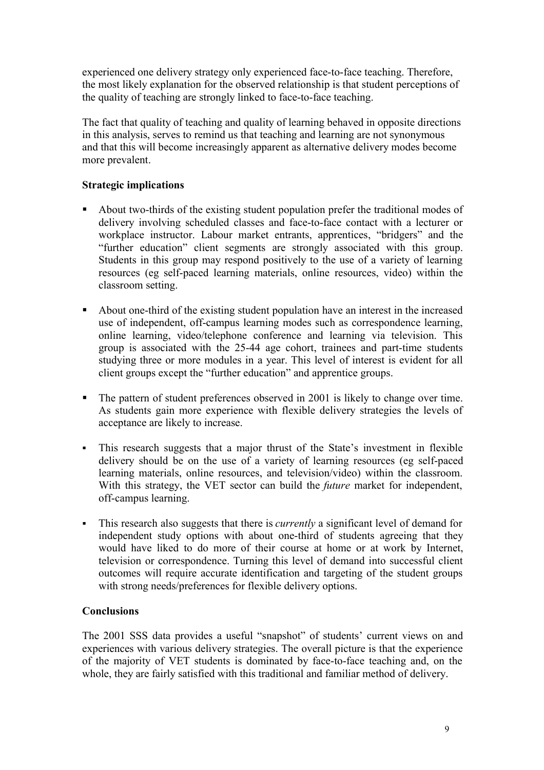experienced one delivery strategy only experienced face-to-face teaching. Therefore, the most likely explanation for the observed relationship is that student perceptions of the quality of teaching are strongly linked to face-to-face teaching.

The fact that quality of teaching and quality of learning behaved in opposite directions in this analysis, serves to remind us that teaching and learning are not synonymous and that this will become increasingly apparent as alternative delivery modes become more prevalent.

# **Strategic implications**

- About two-thirds of the existing student population prefer the traditional modes of delivery involving scheduled classes and face-to-face contact with a lecturer or workplace instructor. Labour market entrants, apprentices, "bridgers" and the "further education" client segments are strongly associated with this group. Students in this group may respond positively to the use of a variety of learning resources (eg self-paced learning materials, online resources, video) within the classroom setting.
- About one-third of the existing student population have an interest in the increased use of independent, off-campus learning modes such as correspondence learning, online learning, video/telephone conference and learning via television. This group is associated with the 25-44 age cohort, trainees and part-time students studying three or more modules in a year. This level of interest is evident for all client groups except the "further education" and apprentice groups.
- The pattern of student preferences observed in 2001 is likely to change over time. As students gain more experience with flexible delivery strategies the levels of acceptance are likely to increase.
- This research suggests that a major thrust of the State's investment in flexible delivery should be on the use of a variety of learning resources (eg self-paced learning materials, online resources, and television/video) within the classroom. With this strategy, the VET sector can build the *future* market for independent, off-campus learning.
- This research also suggests that there is *currently* a significant level of demand for independent study options with about one-third of students agreeing that they would have liked to do more of their course at home or at work by Internet, television or correspondence. Turning this level of demand into successful client outcomes will require accurate identification and targeting of the student groups with strong needs/preferences for flexible delivery options.

### **Conclusions**

The 2001 SSS data provides a useful "snapshot" of students' current views on and experiences with various delivery strategies. The overall picture is that the experience of the majority of VET students is dominated by face-to-face teaching and, on the whole, they are fairly satisfied with this traditional and familiar method of delivery.